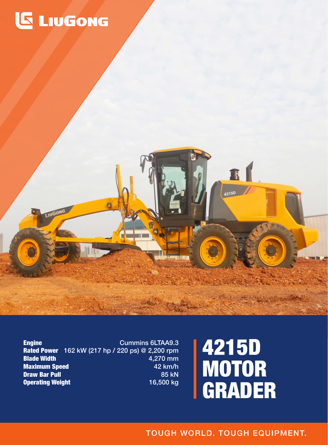# **LE LIUGONG**



Engine **Rated Power** 162 kW (217 hp / 220 ps) @ 2,200 rpm Blade Width Maximum Speed Draw Bar Pull Operating Weight Cummins 6LTAA9.3 4,270 mm 42 km/h 85 kN 16,500 kg

# 4215D MOTOR GRADER

TOUGH WORLD. TOUGH EQUIPMENT.